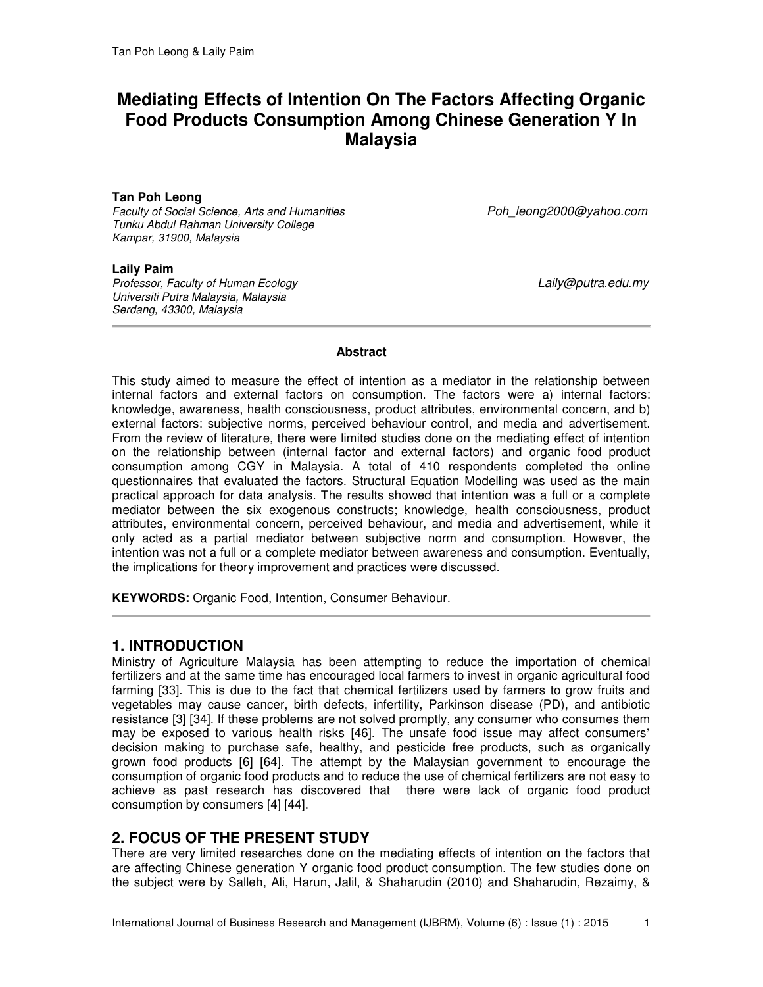# **Mediating Effects of Intention On The Factors Affecting Organic Food Products Consumption Among Chinese Generation Y In Malaysia**

### **Tan Poh Leong**

*Faculty of Social Science, Arts and Humanities Poh\_leong2000@yahoo.com Tunku Abdul Rahman University College Kampar, 31900, Malaysia* 

#### **Laily Paim**

*Professor, Faculty of Human Ecology Laily@putra.edu.my Universiti Putra Malaysia, Malaysia Serdang, 43300, Malaysia* 

#### **Abstract**

This study aimed to measure the effect of intention as a mediator in the relationship between internal factors and external factors on consumption. The factors were a) internal factors: knowledge, awareness, health consciousness, product attributes, environmental concern, and b) external factors: subjective norms, perceived behaviour control, and media and advertisement. From the review of literature, there were limited studies done on the mediating effect of intention on the relationship between (internal factor and external factors) and organic food product consumption among CGY in Malaysia. A total of 410 respondents completed the online questionnaires that evaluated the factors. Structural Equation Modelling was used as the main practical approach for data analysis. The results showed that intention was a full or a complete mediator between the six exogenous constructs; knowledge, health consciousness, product attributes, environmental concern, perceived behaviour, and media and advertisement, while it only acted as a partial mediator between subjective norm and consumption. However, the intention was not a full or a complete mediator between awareness and consumption. Eventually, the implications for theory improvement and practices were discussed.

**KEYWORDS:** Organic Food, Intention, Consumer Behaviour.

### **1. INTRODUCTION**

Ministry of Agriculture Malaysia has been attempting to reduce the importation of chemical fertilizers and at the same time has encouraged local farmers to invest in organic agricultural food farming [33]. This is due to the fact that chemical fertilizers used by farmers to grow fruits and vegetables may cause cancer, birth defects, infertility, Parkinson disease (PD), and antibiotic resistance [3] [34]. If these problems are not solved promptly, any consumer who consumes them may be exposed to various health risks [46]. The unsafe food issue may affect consumers' decision making to purchase safe, healthy, and pesticide free products, such as organically grown food products [6] [64]. The attempt by the Malaysian government to encourage the consumption of organic food products and to reduce the use of chemical fertilizers are not easy to achieve as past research has discovered that there were lack of organic food product consumption by consumers [4] [44].

### **2. FOCUS OF THE PRESENT STUDY**

There are very limited researches done on the mediating effects of intention on the factors that are affecting Chinese generation Y organic food product consumption. The few studies done on the subject were by Salleh, Ali, Harun, Jalil, & Shaharudin (2010) and Shaharudin, Rezaimy, &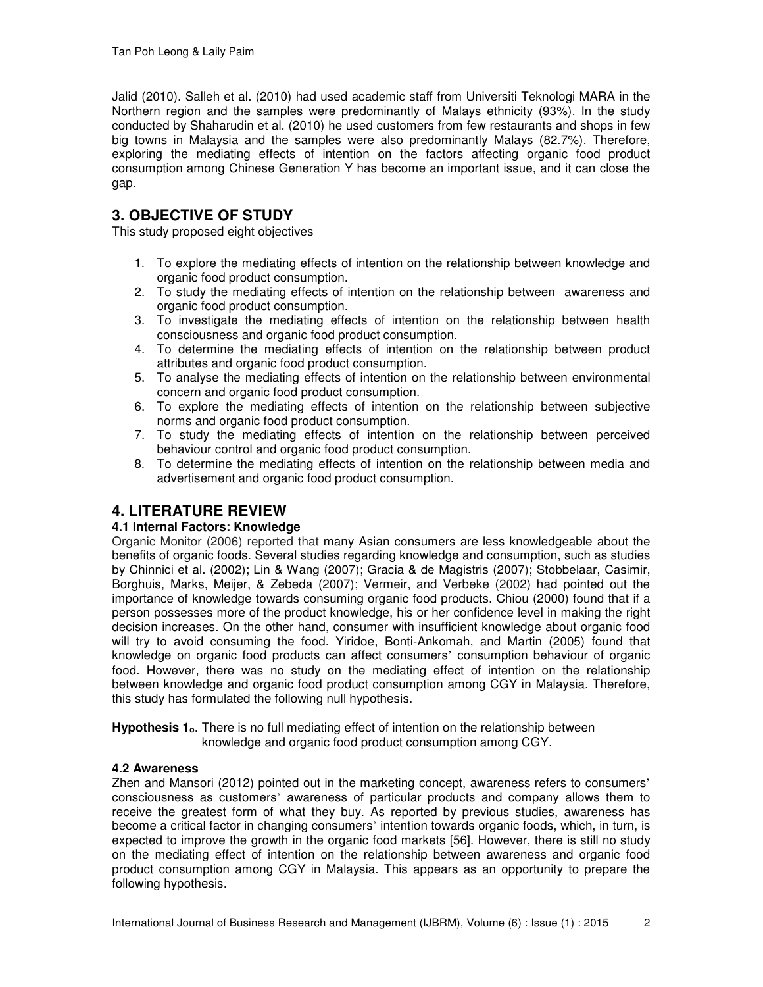Jalid (2010). Salleh et al. (2010) had used academic staff from Universiti Teknologi MARA in the Northern region and the samples were predominantly of Malays ethnicity (93%). In the study conducted by Shaharudin et al. (2010) he used customers from few restaurants and shops in few big towns in Malaysia and the samples were also predominantly Malays (82.7%). Therefore, exploring the mediating effects of intention on the factors affecting organic food product consumption among Chinese Generation Y has become an important issue, and it can close the gap.

# **3. OBJECTIVE OF STUDY**

This study proposed eight objectives

- 1. To explore the mediating effects of intention on the relationship between knowledge and organic food product consumption.
- 2. To study the mediating effects of intention on the relationship between awareness and organic food product consumption.
- 3. To investigate the mediating effects of intention on the relationship between health consciousness and organic food product consumption.
- 4. To determine the mediating effects of intention on the relationship between product attributes and organic food product consumption.
- 5. To analyse the mediating effects of intention on the relationship between environmental concern and organic food product consumption.
- 6. To explore the mediating effects of intention on the relationship between subjective norms and organic food product consumption.
- 7. To study the mediating effects of intention on the relationship between perceived behaviour control and organic food product consumption.
- 8. To determine the mediating effects of intention on the relationship between media and advertisement and organic food product consumption.

### **4. LITERATURE REVIEW**

### **4.1 Internal Factors: Knowledge**

Organic Monitor (2006) reported that many Asian consumers are less knowledgeable about the benefits of organic foods. Several studies regarding knowledge and consumption, such as studies by Chinnici et al. (2002); Lin & Wang (2007); Gracia & de Magistris (2007); Stobbelaar, Casimir, Borghuis, Marks, Meijer, & Zebeda (2007); Vermeir, and Verbeke (2002) had pointed out the importance of knowledge towards consuming organic food products. Chiou (2000) found that if a person possesses more of the product knowledge, his or her confidence level in making the right decision increases. On the other hand, consumer with insufficient knowledge about organic food will try to avoid consuming the food. Yiridoe, Bonti-Ankomah, and Martin (2005) found that knowledge on organic food products can affect consumers' consumption behaviour of organic food. However, there was no study on the mediating effect of intention on the relationship between knowledge and organic food product consumption among CGY in Malaysia. Therefore, this study has formulated the following null hypothesis.

Hypothesis 1<sub>0</sub>. There is no full mediating effect of intention on the relationship between knowledge and organic food product consumption among CGY.

### **4.2 Awareness**

Zhen and Mansori (2012) pointed out in the marketing concept, awareness refers to consumers' consciousness as customers' awareness of particular products and company allows them to receive the greatest form of what they buy. As reported by previous studies, awareness has become a critical factor in changing consumers' intention towards organic foods, which, in turn, is expected to improve the growth in the organic food markets [56]. However, there is still no study on the mediating effect of intention on the relationship between awareness and organic food product consumption among CGY in Malaysia. This appears as an opportunity to prepare the following hypothesis.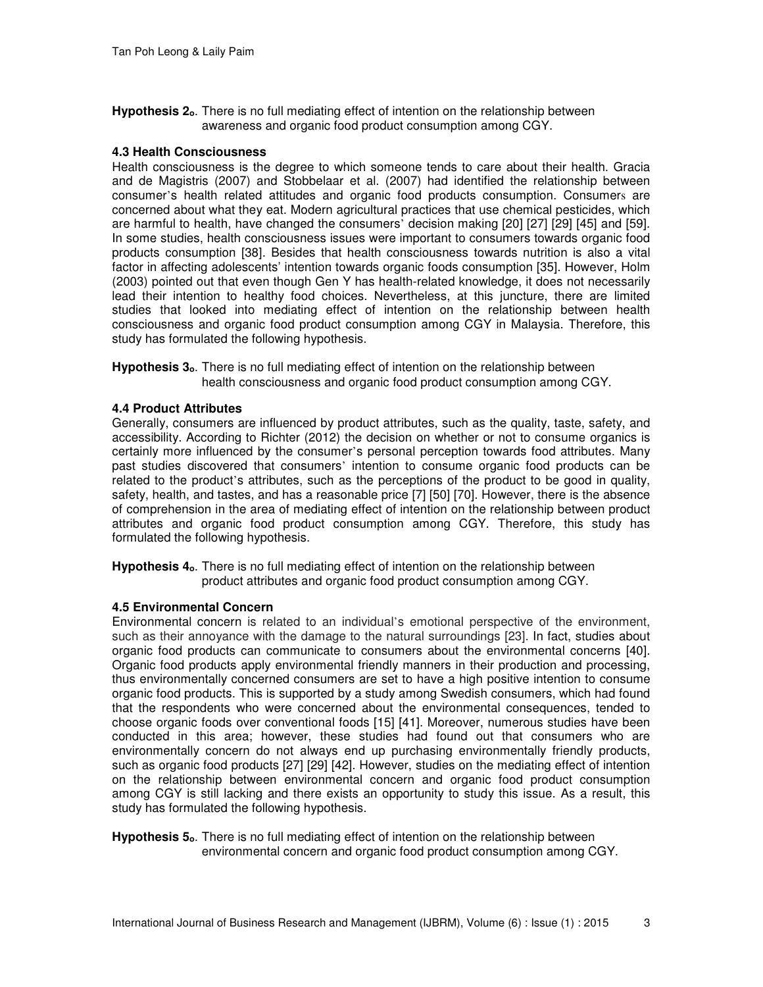**Hypothesis 2<sub>0</sub>**. There is no full mediating effect of intention on the relationship between awareness and organic food product consumption among CGY.

#### **4.3 Health Consciousness**

Health consciousness is the degree to which someone tends to care about their health. Gracia and de Magistris (2007) and Stobbelaar et al. (2007) had identified the relationship between consumer's health related attitudes and organic food products consumption. Consumers are concerned about what they eat. Modern agricultural practices that use chemical pesticides, which are harmful to health, have changed the consumers' decision making [20] [27] [29] [45] and [59]. In some studies, health consciousness issues were important to consumers towards organic food products consumption [38]. Besides that health consciousness towards nutrition is also a vital factor in affecting adolescents' intention towards organic foods consumption [35]. However, Holm (2003) pointed out that even though Gen Y has health-related knowledge, it does not necessarily lead their intention to healthy food choices. Nevertheless, at this juncture, there are limited studies that looked into mediating effect of intention on the relationship between health consciousness and organic food product consumption among CGY in Malaysia. Therefore, this study has formulated the following hypothesis.

Hypothesis 3<sub>0</sub>. There is no full mediating effect of intention on the relationship between health consciousness and organic food product consumption among CGY.

#### **4.4 Product Attributes**

Generally, consumers are influenced by product attributes, such as the quality, taste, safety, and accessibility. According to Richter (2012) the decision on whether or not to consume organics is certainly more influenced by the consumer's personal perception towards food attributes. Many past studies discovered that consumers' intention to consume organic food products can be related to the product's attributes, such as the perceptions of the product to be good in quality, safety, health, and tastes, and has a reasonable price [7] [50] [70]. However, there is the absence of comprehension in the area of mediating effect of intention on the relationship between product attributes and organic food product consumption among CGY. Therefore, this study has formulated the following hypothesis.

**Hypothesis 4ₒ**. There is no full mediating effect of intention on the relationship between product attributes and organic food product consumption among CGY.

### **4.5 Environmental Concern**

Environmental concern is related to an individual's emotional perspective of the environment, such as their annoyance with the damage to the natural surroundings [23]. In fact, studies about organic food products can communicate to consumers about the environmental concerns [40]. Organic food products apply environmental friendly manners in their production and processing, thus environmentally concerned consumers are set to have a high positive intention to consume organic food products. This is supported by a study among Swedish consumers, which had found that the respondents who were concerned about the environmental consequences, tended to choose organic foods over conventional foods [15] [41]. Moreover, numerous studies have been conducted in this area; however, these studies had found out that consumers who are environmentally concern do not always end up purchasing environmentally friendly products, such as organic food products [27] [29] [42]. However, studies on the mediating effect of intention on the relationship between environmental concern and organic food product consumption among CGY is still lacking and there exists an opportunity to study this issue. As a result, this study has formulated the following hypothesis.

Hypothesis 5<sub>o</sub>. There is no full mediating effect of intention on the relationship between environmental concern and organic food product consumption among CGY.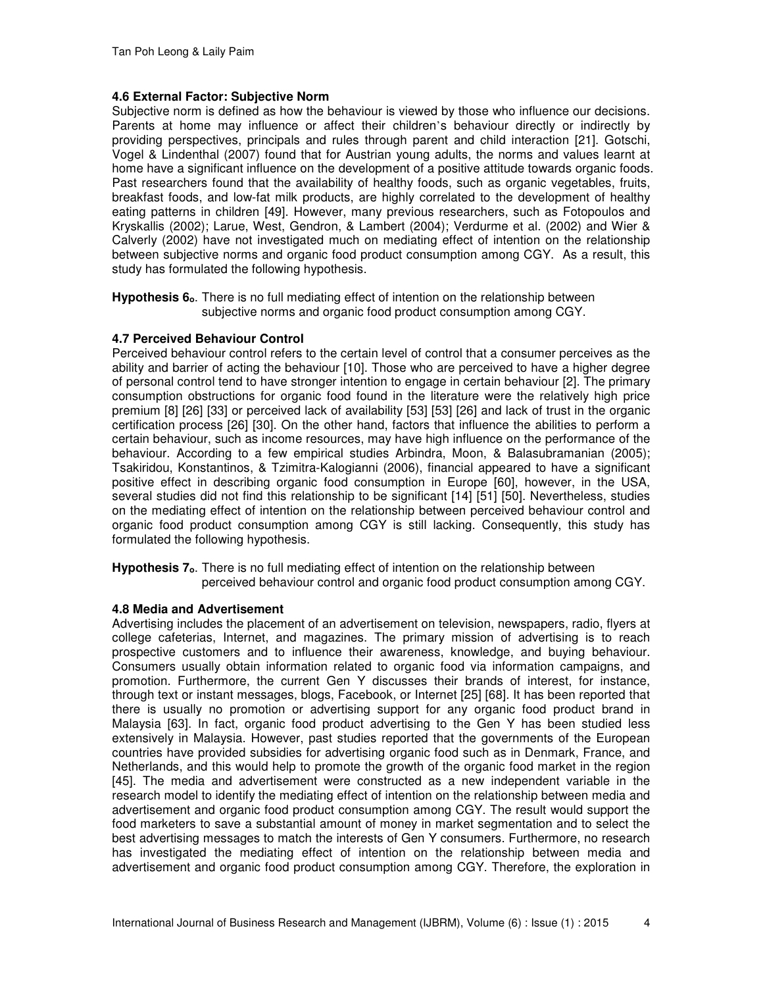### **4.6 External Factor: Subjective Norm**

Subjective norm is defined as how the behaviour is viewed by those who influence our decisions. Parents at home may influence or affect their children's behaviour directly or indirectly by providing perspectives, principals and rules through parent and child interaction [21]. Gotschi, Vogel & Lindenthal (2007) found that for Austrian young adults, the norms and values learnt at home have a significant influence on the development of a positive attitude towards organic foods. Past researchers found that the availability of healthy foods, such as organic vegetables, fruits, breakfast foods, and low-fat milk products, are highly correlated to the development of healthy eating patterns in children [49]. However, many previous researchers, such as Fotopoulos and Kryskallis (2002); Larue, West, Gendron, & Lambert (2004); Verdurme et al. (2002) and Wier & Calverly (2002) have not investigated much on mediating effect of intention on the relationship between subjective norms and organic food product consumption among CGY. As a result, this study has formulated the following hypothesis.

Hypothesis 6<sub>0</sub>. There is no full mediating effect of intention on the relationship between subjective norms and organic food product consumption among CGY.

### **4.7 Perceived Behaviour Control**

Perceived behaviour control refers to the certain level of control that a consumer perceives as the ability and barrier of acting the behaviour [10]. Those who are perceived to have a higher degree of personal control tend to have stronger intention to engage in certain behaviour [2]. The primary consumption obstructions for organic food found in the literature were the relatively high price premium [8] [26] [33] or perceived lack of availability [53] [53] [26] and lack of trust in the organic certification process [26] [30]. On the other hand, factors that influence the abilities to perform a certain behaviour, such as income resources, may have high influence on the performance of the behaviour. According to a few empirical studies Arbindra, Moon, & Balasubramanian (2005); Tsakiridou, Konstantinos, & Tzimitra-Kalogianni (2006), financial appeared to have a significant positive effect in describing organic food consumption in Europe [60], however, in the USA, several studies did not find this relationship to be significant [14] [51] [50]. Nevertheless, studies on the mediating effect of intention on the relationship between perceived behaviour control and organic food product consumption among CGY is still lacking. Consequently, this study has formulated the following hypothesis.

Hypothesis 7<sub>0</sub>. There is no full mediating effect of intention on the relationship between perceived behaviour control and organic food product consumption among CGY.

### **4.8 Media and Advertisement**

Advertising includes the placement of an advertisement on television, newspapers, radio, flyers at college cafeterias, Internet, and magazines. The primary mission of advertising is to reach prospective customers and to influence their awareness, knowledge, and buying behaviour. Consumers usually obtain information related to organic food via information campaigns, and promotion. Furthermore, the current Gen Y discusses their brands of interest, for instance, through text or instant messages, blogs, Facebook, or Internet [25] [68]. It has been reported that there is usually no promotion or advertising support for any organic food product brand in Malaysia [63]. In fact, organic food product advertising to the Gen Y has been studied less extensively in Malaysia. However, past studies reported that the governments of the European countries have provided subsidies for advertising organic food such as in Denmark, France, and Netherlands, and this would help to promote the growth of the organic food market in the region [45]. The media and advertisement were constructed as a new independent variable in the research model to identify the mediating effect of intention on the relationship between media and advertisement and organic food product consumption among CGY. The result would support the food marketers to save a substantial amount of money in market segmentation and to select the best advertising messages to match the interests of Gen Y consumers. Furthermore, no research has investigated the mediating effect of intention on the relationship between media and advertisement and organic food product consumption among CGY. Therefore, the exploration in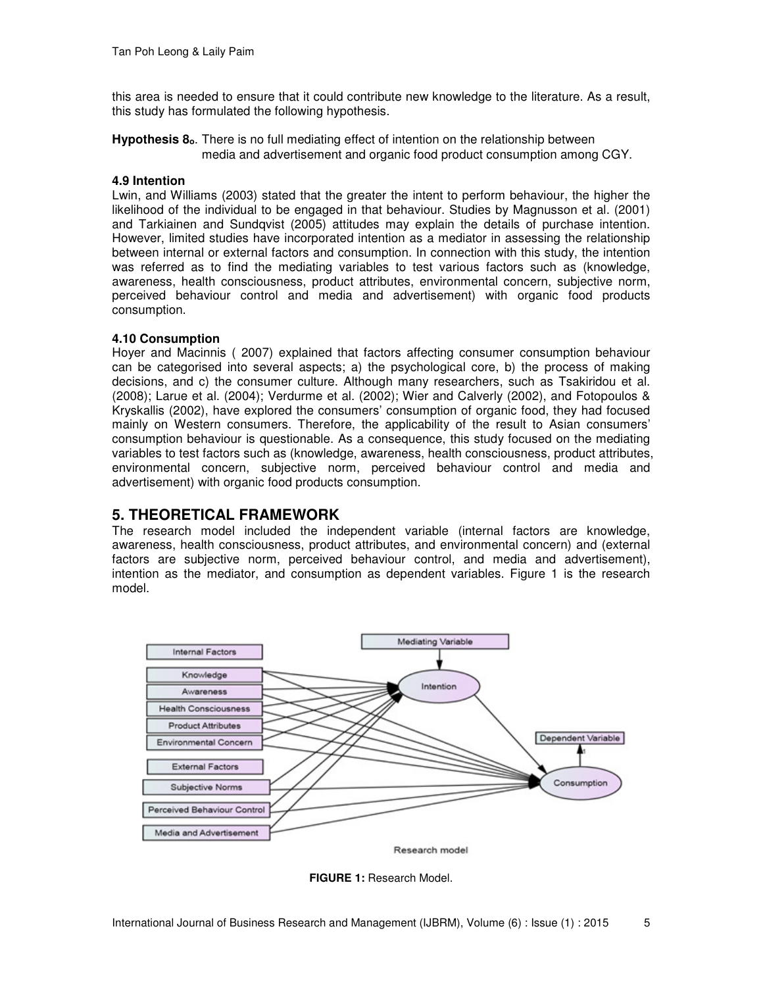this area is needed to ensure that it could contribute new knowledge to the literature. As a result, this study has formulated the following hypothesis.

**Hypothesis 8<sub>0</sub>**. There is no full mediating effect of intention on the relationship between media and advertisement and organic food product consumption among CGY.

### **4.9 Intention**

Lwin, and Williams (2003) stated that the greater the intent to perform behaviour, the higher the likelihood of the individual to be engaged in that behaviour. Studies by Magnusson et al. (2001) and Tarkiainen and Sundqvist (2005) attitudes may explain the details of purchase intention. However, limited studies have incorporated intention as a mediator in assessing the relationship between internal or external factors and consumption. In connection with this study, the intention was referred as to find the mediating variables to test various factors such as (knowledge, awareness, health consciousness, product attributes, environmental concern, subjective norm, perceived behaviour control and media and advertisement) with organic food products consumption.

### **4.10 Consumption**

Hoyer and Macinnis ( 2007) explained that factors affecting consumer consumption behaviour can be categorised into several aspects; a) the psychological core, b) the process of making decisions, and c) the consumer culture. Although many researchers, such as Tsakiridou et al. (2008); Larue et al. (2004); Verdurme et al. (2002); Wier and Calverly (2002), and Fotopoulos & Kryskallis (2002), have explored the consumers' consumption of organic food, they had focused mainly on Western consumers. Therefore, the applicability of the result to Asian consumers' consumption behaviour is questionable. As a consequence, this study focused on the mediating variables to test factors such as (knowledge, awareness, health consciousness, product attributes, environmental concern, subjective norm, perceived behaviour control and media and advertisement) with organic food products consumption.

# **5. THEORETICAL FRAMEWORK**

The research model included the independent variable (internal factors are knowledge, awareness, health consciousness, product attributes, and environmental concern) and (external factors are subjective norm, perceived behaviour control, and media and advertisement), intention as the mediator, and consumption as dependent variables. Figure 1 is the research model.



Research model

**FIGURE 1:** Research Model.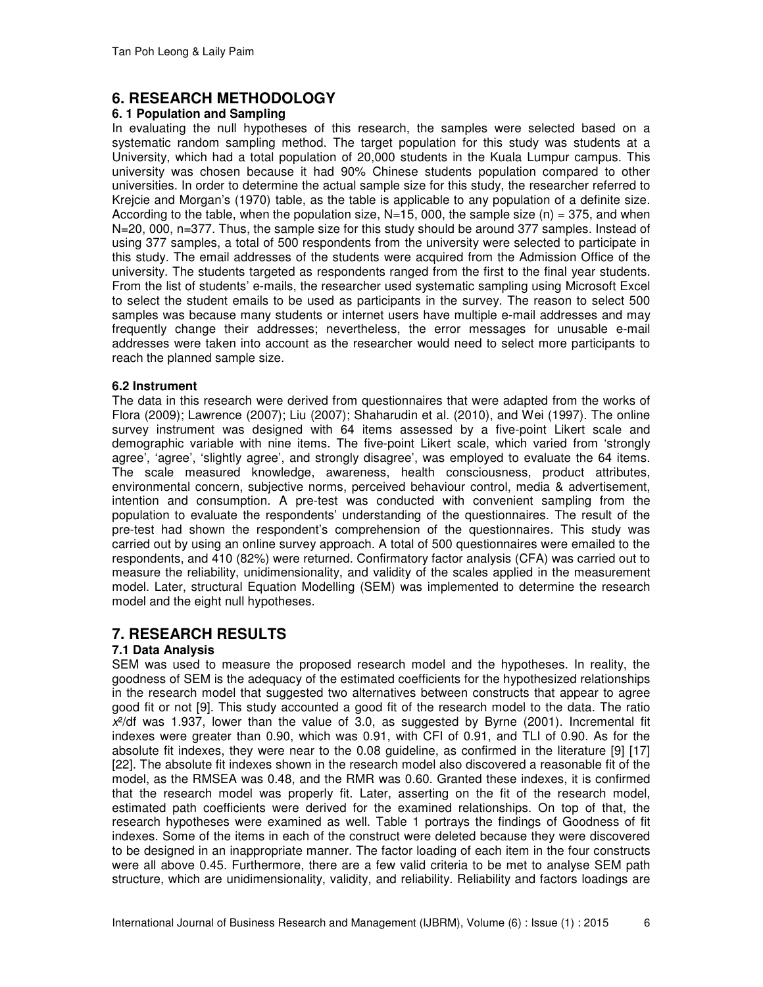# **6. RESEARCH METHODOLOGY**

### **6. 1 Population and Sampling**

In evaluating the null hypotheses of this research, the samples were selected based on a systematic random sampling method. The target population for this study was students at a University, which had a total population of 20,000 students in the Kuala Lumpur campus. This university was chosen because it had 90% Chinese students population compared to other universities. In order to determine the actual sample size for this study, the researcher referred to Krejcie and Morgan's (1970) table, as the table is applicable to any population of a definite size. According to the table, when the population size,  $N=15$ , 000, the sample size (n) = 375, and when N=20, 000, n=377. Thus, the sample size for this study should be around 377 samples. Instead of using 377 samples, a total of 500 respondents from the university were selected to participate in this study. The email addresses of the students were acquired from the Admission Office of the university. The students targeted as respondents ranged from the first to the final year students. From the list of students' e-mails, the researcher used systematic sampling using Microsoft Excel to select the student emails to be used as participants in the survey. The reason to select 500 samples was because many students or internet users have multiple e-mail addresses and may frequently change their addresses; nevertheless, the error messages for unusable e-mail addresses were taken into account as the researcher would need to select more participants to reach the planned sample size.

### **6.2 Instrument**

The data in this research were derived from questionnaires that were adapted from the works of Flora (2009); Lawrence (2007); Liu (2007); Shaharudin et al. (2010), and Wei (1997). The online survey instrument was designed with 64 items assessed by a five-point Likert scale and demographic variable with nine items. The five-point Likert scale, which varied from 'strongly agree', 'agree', 'slightly agree', and strongly disagree', was employed to evaluate the 64 items. The scale measured knowledge, awareness, health consciousness, product attributes, environmental concern, subjective norms, perceived behaviour control, media & advertisement, intention and consumption. A pre-test was conducted with convenient sampling from the population to evaluate the respondents' understanding of the questionnaires. The result of the pre-test had shown the respondent's comprehension of the questionnaires. This study was carried out by using an online survey approach. A total of 500 questionnaires were emailed to the respondents, and 410 (82%) were returned. Confirmatory factor analysis (CFA) was carried out to measure the reliability, unidimensionality, and validity of the scales applied in the measurement model. Later, structural Equation Modelling (SEM) was implemented to determine the research model and the eight null hypotheses.

### **7. RESEARCH RESULTS**

### **7.1 Data Analysis**

SEM was used to measure the proposed research model and the hypotheses. In reality, the goodness of SEM is the adequacy of the estimated coefficients for the hypothesized relationships in the research model that suggested two alternatives between constructs that appear to agree good fit or not [9]. This study accounted a good fit of the research model to the data. The ratio  $x<sup>2</sup>/df$  was 1.937, lower than the value of 3.0, as suggested by Byrne (2001). Incremental fit indexes were greater than 0.90, which was 0.91, with CFI of 0.91, and TLI of 0.90. As for the absolute fit indexes, they were near to the 0.08 guideline, as confirmed in the literature [9] [17] [22]. The absolute fit indexes shown in the research model also discovered a reasonable fit of the model, as the RMSEA was 0.48, and the RMR was 0.60. Granted these indexes, it is confirmed that the research model was properly fit. Later, asserting on the fit of the research model, estimated path coefficients were derived for the examined relationships. On top of that, the research hypotheses were examined as well. Table 1 portrays the findings of Goodness of fit indexes. Some of the items in each of the construct were deleted because they were discovered to be designed in an inappropriate manner. The factor loading of each item in the four constructs were all above 0.45. Furthermore, there are a few valid criteria to be met to analyse SEM path structure, which are unidimensionality, validity, and reliability. Reliability and factors loadings are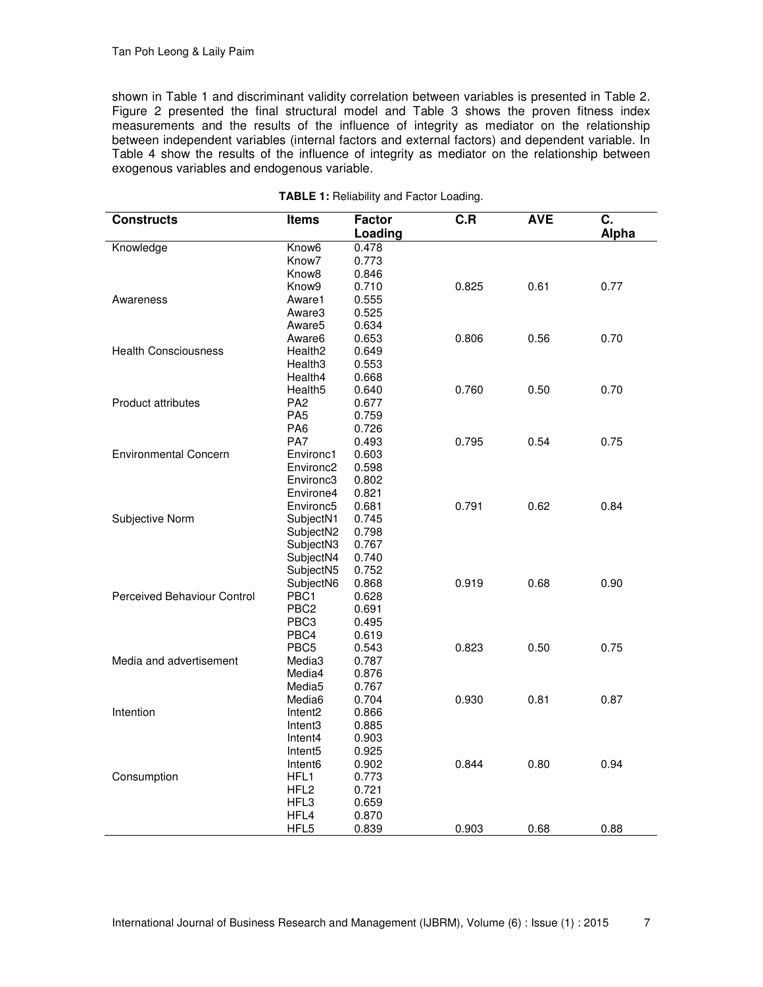shown in Table 1 and discriminant validity correlation between variables is presented in Table 2. Figure 2 presented the final structural model and Table 3 shows the proven fitness index measurements and the results of the influence of integrity as mediator on the relationship between independent variables (internal factors and external factors) and dependent variable. In Table 4 show the results of the influence of integrity as mediator on the relationship between exogenous variables and endogenous variable.

| <b>Constructs</b>            | Items                 | <b>Factor</b><br>Loading | C.R   | <b>AVE</b> | C.<br>Alpha |
|------------------------------|-----------------------|--------------------------|-------|------------|-------------|
| Knowledge                    | Know <sub>6</sub>     | 0.478                    |       |            |             |
|                              | Know <sub>7</sub>     | 0.773                    |       |            |             |
|                              | Know <sub>8</sub>     | 0.846                    |       |            |             |
|                              | Know9                 | 0.710                    | 0.825 | 0.61       | 0.77        |
| Awareness                    | Aware1                | 0.555                    |       |            |             |
|                              | Aware3                | 0.525                    |       |            |             |
|                              | Aware5                | 0.634                    |       |            |             |
|                              | Aware6                | 0.653                    | 0.806 | 0.56       | 0.70        |
| <b>Health Consciousness</b>  | Health <sub>2</sub>   | 0.649                    |       |            |             |
|                              | Health3               | 0.553                    |       |            |             |
|                              | Health4               | 0.668                    |       |            |             |
|                              | Health <sub>5</sub>   | 0.640                    | 0.760 | 0.50       | 0.70        |
| Product attributes           | PA <sub>2</sub>       | 0.677                    |       |            |             |
|                              | PA <sub>5</sub>       | 0.759                    |       |            |             |
|                              | PA <sub>6</sub>       | 0.726                    |       |            |             |
|                              | PA7                   | 0.493                    | 0.795 | 0.54       | 0.75        |
| <b>Environmental Concern</b> | Environc1             | 0.603                    |       |            |             |
|                              | Environc <sub>2</sub> | 0.598                    |       |            |             |
|                              | Environc3             | 0.802                    |       |            |             |
|                              | Environe4             | 0.821                    |       |            |             |
|                              | Environc5             | 0.681                    | 0.791 | 0.62       | 0.84        |
| Subjective Norm              | SubjectN1             | 0.745                    |       |            |             |
|                              | SubjectN2             | 0.798                    |       |            |             |
|                              | SubjectN3             | 0.767                    |       |            |             |
|                              | SubjectN4             | 0.740                    |       |            |             |
|                              | SubjectN5             | 0.752                    |       |            |             |
|                              | SubjectN6             | 0.868                    | 0.919 | 0.68       | 0.90        |
| Perceived Behaviour Control  | PBC <sub>1</sub>      | 0.628                    |       |            |             |
|                              | PBC <sub>2</sub>      | 0.691                    |       |            |             |
|                              | PBC <sub>3</sub>      | 0.495                    |       |            |             |
|                              | PBC4                  | 0.619                    |       |            |             |
|                              | PBC <sub>5</sub>      | 0.543                    | 0.823 | 0.50       | 0.75        |
| Media and advertisement      | Media3                | 0.787                    |       |            |             |
|                              | Media4                | 0.876                    |       |            |             |
|                              | Media <sub>5</sub>    | 0.767                    |       |            |             |
|                              | Media6                | 0.704                    | 0.930 | 0.81       | 0.87        |
| Intention                    | Intent <sub>2</sub>   | 0.866                    |       |            |             |
|                              | Intent3               | 0.885                    |       |            |             |
|                              | Intent <sub>4</sub>   | 0.903                    |       |            |             |
|                              | Intent <sub>5</sub>   | 0.925                    |       |            |             |
|                              | Intent6               | 0.902                    | 0.844 | 0.80       | 0.94        |
| Consumption                  | HFL1                  | 0.773                    |       |            |             |
|                              | HFL <sub>2</sub>      | 0.721                    |       |            |             |
|                              | HFL3                  | 0.659                    |       |            |             |
|                              | HFL4                  | 0.870                    |       |            |             |
|                              | HFL5                  | 0.839                    | 0.903 | 0.68       | 0.88        |

**TABLE 1:** Reliability and Factor Loading.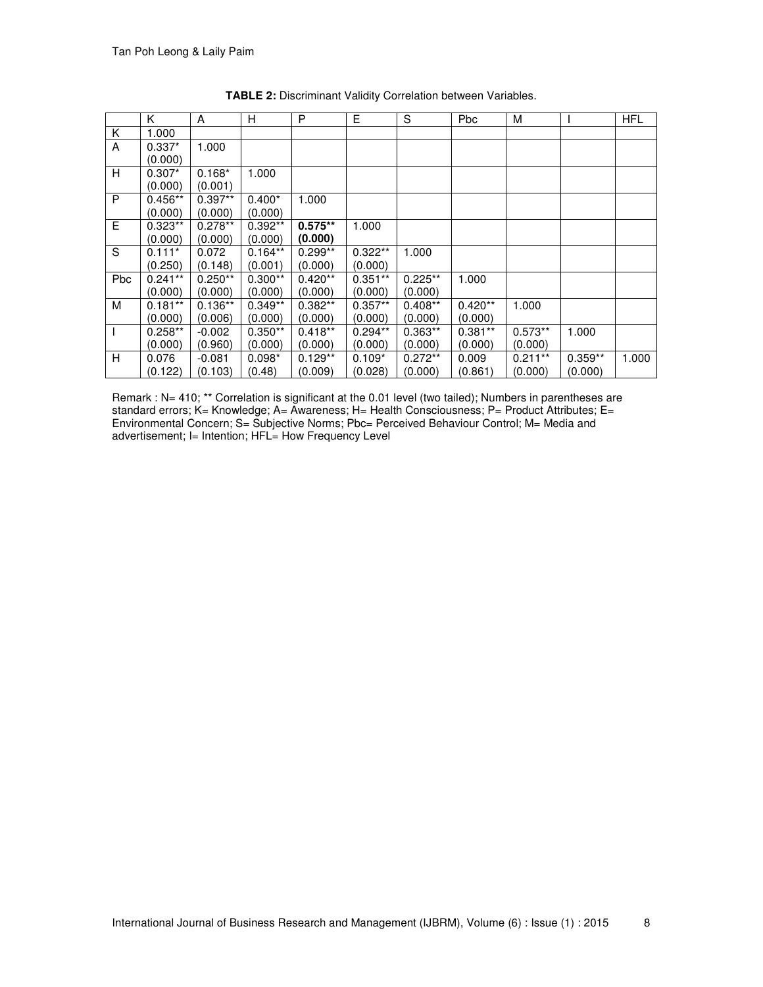|     | K         | A         | H         | P         | E.        | S         | Pbc       | M         |           | <b>HFL</b> |
|-----|-----------|-----------|-----------|-----------|-----------|-----------|-----------|-----------|-----------|------------|
| Κ   | 1.000     |           |           |           |           |           |           |           |           |            |
| A   | $0.337*$  | 1.000     |           |           |           |           |           |           |           |            |
|     | (0.000)   |           |           |           |           |           |           |           |           |            |
| H   | $0.307*$  | $0.168*$  | 1.000     |           |           |           |           |           |           |            |
|     | (0.000)   | (0.001)   |           |           |           |           |           |           |           |            |
| P   | $0.456**$ | $0.397**$ | $0.400*$  | 1.000     |           |           |           |           |           |            |
|     | (0.000)   | (0.000)   | (0.000)   |           |           |           |           |           |           |            |
| E   | $0.323**$ | $0.278**$ | $0.392**$ | $0.575**$ | 1.000     |           |           |           |           |            |
|     | (0.000)   | (0.000)   | (0.000)   | (0.000)   |           |           |           |           |           |            |
| S   | $0.111*$  | 0.072     | $0.164**$ | $0.299**$ | $0.322**$ | 1.000     |           |           |           |            |
|     | (0.250)   | (0.148)   | (0.001)   | (0.000)   | (0.000)   |           |           |           |           |            |
| Pbc | $0.241**$ | $0.250**$ | $0.300**$ | $0.420**$ | $0.351**$ | $0.225**$ | 1.000     |           |           |            |
|     | (0.000)   | (0.000)   | (0.000)   | (0.000)   | (0.000)   | (0.000)   |           |           |           |            |
| M   | $0.181**$ | $0.136**$ | $0.349**$ | $0.382**$ | $0.357**$ | $0.408**$ | $0.420**$ | 1.000     |           |            |
|     | (0.000)   | (0.006)   | (0.000)   | (0.000)   | (0.000)   | (0.000)   | (0.000)   |           |           |            |
| I.  | $0.258**$ | $-0.002$  | $0.350**$ | $0.418**$ | $0.294**$ | $0.363**$ | $0.381**$ | $0.573**$ | 1.000     |            |
|     | (0.000)   | (0.960)   | (0.000)   | (0.000)   | (0.000)   | (0.000)   | (0.000)   | (0.000)   |           |            |
| H   | 0.076     | $-0.081$  | $0.098*$  | $0.129**$ | $0.109*$  | $0.272**$ | 0.009     | $0.211**$ | $0.359**$ | 1.000      |
|     | (0.122)   | (0.103)   | (0.48)    | (0.009)   | (0.028)   | (0.000)   | (0.861)   | (0.000)   | (0.000)   |            |

**TABLE 2:** Discriminant Validity Correlation between Variables.

Remark : N= 410; \*\* Correlation is significant at the 0.01 level (two tailed); Numbers in parentheses are standard errors; K= Knowledge; A= Awareness; H= Health Consciousness; P= Product Attributes; E= Environmental Concern; S= Subjective Norms; Pbc= Perceived Behaviour Control; M= Media and advertisement; I= Intention; HFL= How Frequency Level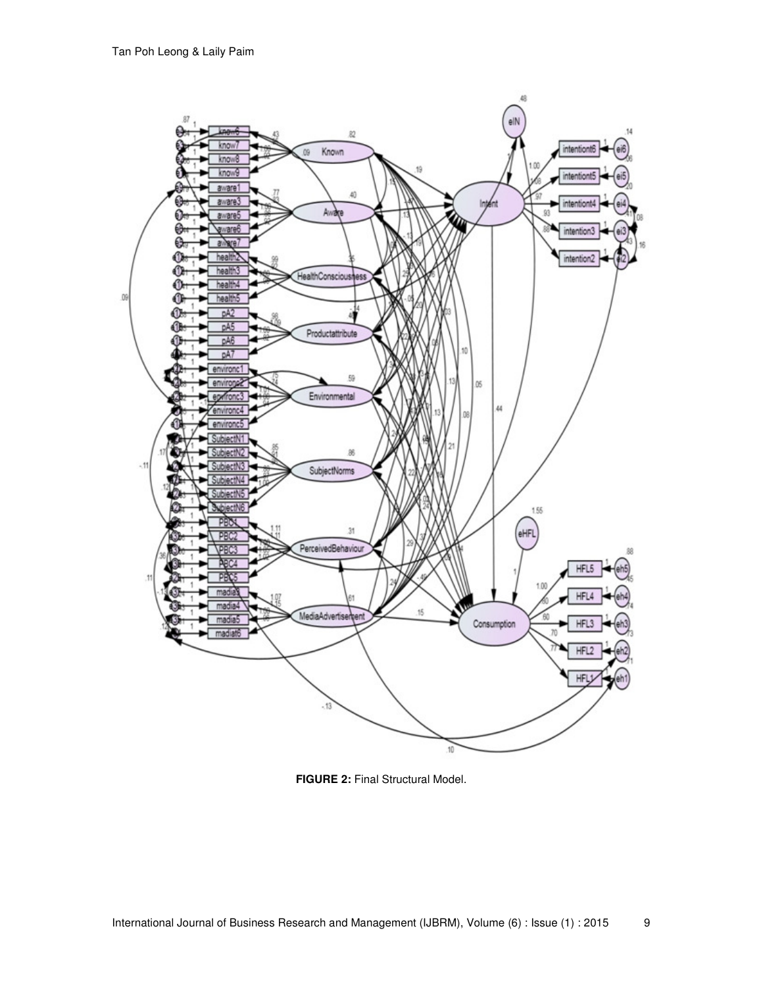

**FIGURE 2:** Final Structural Model.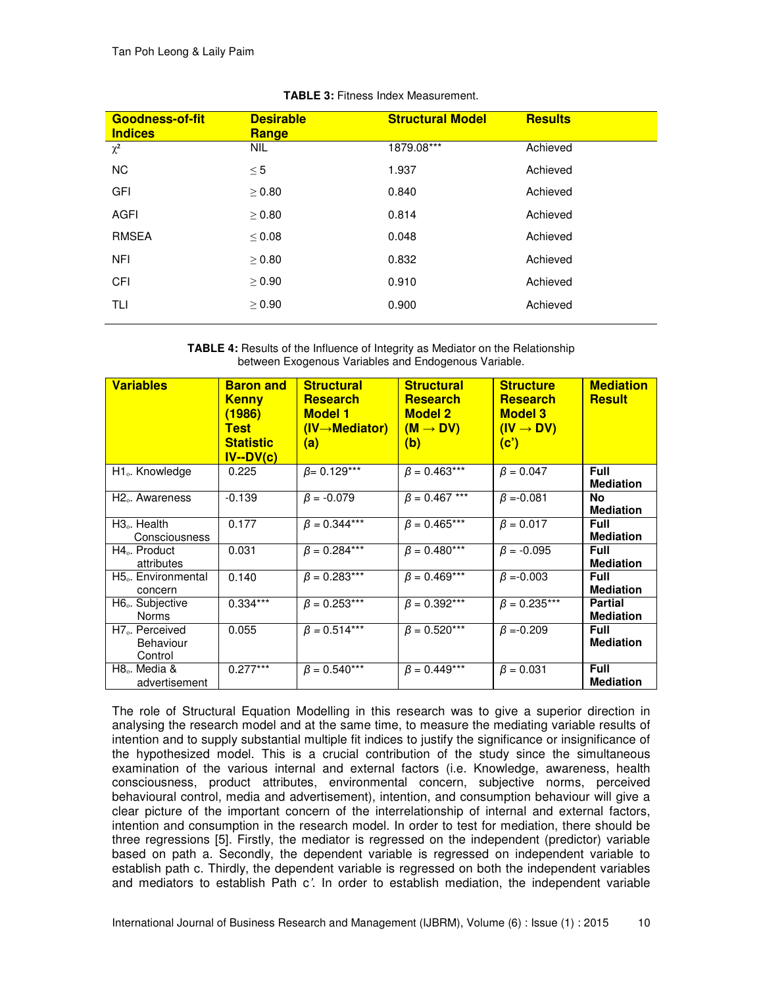| <b>Goodness-of-fit</b><br><b>Indices</b> | <b>Desirable</b><br><b>Range</b> | <b>Structural Model</b> | <b>Results</b> |
|------------------------------------------|----------------------------------|-------------------------|----------------|
| $\chi^2$                                 | <b>NIL</b>                       | 1879.08***              | Achieved       |
| <b>NC</b>                                | $\leq 5$                         | 1.937                   | Achieved       |
| <b>GFI</b>                               | > 0.80                           | 0.840                   | Achieved       |
| <b>AGFI</b>                              | $\geq 0.80$                      | 0.814                   | Achieved       |
| <b>RMSEA</b>                             | < 0.08                           | 0.048                   | Achieved       |
| <b>NFI</b>                               | > 0.80                           | 0.832                   | Achieved       |
| <b>CFI</b>                               | > 0.90                           | 0.910                   | Achieved       |
| TLI                                      | $\geq 0.90$                      | 0.900                   | Achieved       |
|                                          |                                  |                         |                |

### **TABLE 3:** Fitness Index Measurement.

**TABLE 4:** Results of the Influence of Integrity as Mediator on the Relationship between Exogenous Variables and Endogenous Variable.

| <b>Variables</b>                                   | <b>Baron and</b><br><b>Kenny</b><br>(1986)<br><b>Test</b><br><b>Statistic</b><br>$IV-DV(c)$ | <b>Structural</b><br><b>Research</b><br><b>Model 1</b><br>$(IV \rightarrow Mediator)$<br>(a) | <b>Structural</b><br><b>Research</b><br><b>Model 2</b><br>$(M \rightarrow DV)$<br>(b) | <b>Structure</b><br><b>Research</b><br><b>Model 3</b><br>$(IV \rightarrow DV)$<br>(c') | <b>Mediation</b><br><b>Result</b>  |
|----------------------------------------------------|---------------------------------------------------------------------------------------------|----------------------------------------------------------------------------------------------|---------------------------------------------------------------------------------------|----------------------------------------------------------------------------------------|------------------------------------|
| H <sub>1</sub> . Knowledge                         | 0.225                                                                                       | $\beta$ = 0.129***                                                                           | $\beta = 0.463***$                                                                    | $\beta = 0.047$                                                                        | <b>Full</b><br><b>Mediation</b>    |
| H <sub>2</sub> . Awareness                         | $-0.139$                                                                                    | $\beta = -0.079$                                                                             | $\beta = 0.467$ ***                                                                   | $\beta = -0.081$                                                                       | No<br><b>Mediation</b>             |
| $H3o$ . Health<br>Consciousness                    | 0.177                                                                                       | $\beta = 0.344***$                                                                           | $\beta = 0.465***$                                                                    | $\beta = 0.017$                                                                        | <b>Full</b><br><b>Mediation</b>    |
| $H4o$ . Product<br>attributes                      | 0.031                                                                                       | $\beta = 0.284***$                                                                           | $\beta = 0.480***$                                                                    | $\beta = -0.095$                                                                       | <b>Full</b><br><b>Mediation</b>    |
| H <sub>5</sub> . Environmental<br>concern          | 0.140                                                                                       | $\beta = 0.283***$                                                                           | $\beta = 0.469***$                                                                    | $\beta = -0.003$                                                                       | <b>Full</b><br><b>Mediation</b>    |
| H <sub>6</sub> . Subjective<br><b>Norms</b>        | $0.334***$                                                                                  | $\beta = 0.253***$                                                                           | $\beta = 0.392***$                                                                    | $\beta = 0.235***$                                                                     | <b>Partial</b><br><b>Mediation</b> |
| H <sub>7</sub> . Perceived<br>Behaviour<br>Control | 0.055                                                                                       | $\beta = 0.514***$                                                                           | $\beta = 0.520***$                                                                    | $\beta = -0.209$                                                                       | <b>Full</b><br><b>Mediation</b>    |
| H <sub>8</sub> . Media &<br>advertisement          | $0.277***$                                                                                  | $\beta = 0.540***$                                                                           | $\beta = 0.449***$                                                                    | $\beta = 0.031$                                                                        | <b>Full</b><br><b>Mediation</b>    |

The role of Structural Equation Modelling in this research was to give a superior direction in analysing the research model and at the same time, to measure the mediating variable results of intention and to supply substantial multiple fit indices to justify the significance or insignificance of the hypothesized model. This is a crucial contribution of the study since the simultaneous examination of the various internal and external factors (i.e. Knowledge, awareness, health consciousness, product attributes, environmental concern, subjective norms, perceived behavioural control, media and advertisement), intention, and consumption behaviour will give a clear picture of the important concern of the interrelationship of internal and external factors, intention and consumption in the research model. In order to test for mediation, there should be three regressions [5]. Firstly, the mediator is regressed on the independent (predictor) variable based on path a. Secondly, the dependent variable is regressed on independent variable to establish path c. Thirdly, the dependent variable is regressed on both the independent variables and mediators to establish Path c*'*. In order to establish mediation, the independent variable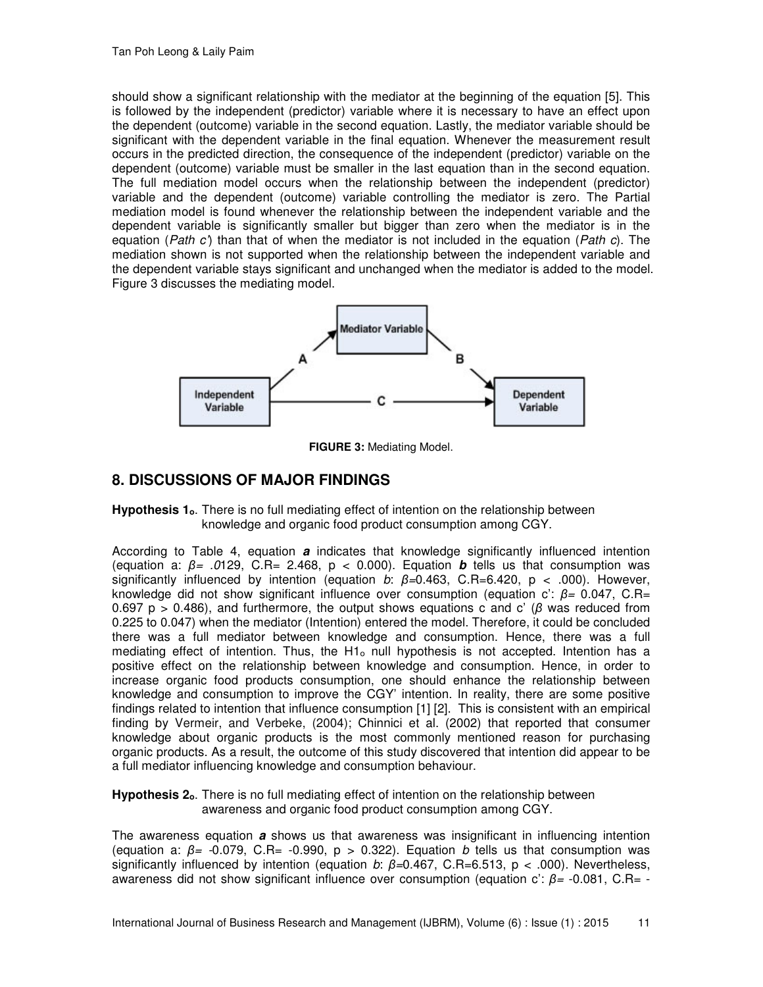should show a significant relationship with the mediator at the beginning of the equation [5]. This is followed by the independent (predictor) variable where it is necessary to have an effect upon the dependent (outcome) variable in the second equation. Lastly, the mediator variable should be significant with the dependent variable in the final equation. Whenever the measurement result occurs in the predicted direction, the consequence of the independent (predictor) variable on the dependent (outcome) variable must be smaller in the last equation than in the second equation. The full mediation model occurs when the relationship between the independent (predictor) variable and the dependent (outcome) variable controlling the mediator is zero. The Partial mediation model is found whenever the relationship between the independent variable and the dependent variable is significantly smaller but bigger than zero when the mediator is in the equation (*Path c'*) than that of when the mediator is not included in the equation (*Path c*). The mediation shown is not supported when the relationship between the independent variable and the dependent variable stays significant and unchanged when the mediator is added to the model. Figure 3 discusses the mediating model.



**FIGURE 3:** Mediating Model.

# **8. DISCUSSIONS OF MAJOR FINDINGS**

**Hypothesis 1<sub>0</sub>**. There is no full mediating effect of intention on the relationship between knowledge and organic food product consumption among CGY.

According to Table 4, equation **a** indicates that knowledge significantly influenced intention (equation a: *β= .0*129, C.R= 2.468, p < 0.000). Equation **b** tells us that consumption was significantly influenced by intention (equation *b*: *β=*0.463, C.R=6.420, p < .000). However, knowledge did not show significant influence over consumption (equation c': *β=* 0.047, C.R= 0.697 p > 0.486), and furthermore, the output shows equations c and c' (*β* was reduced from 0.225 to 0.047) when the mediator (Intention) entered the model. Therefore, it could be concluded there was a full mediator between knowledge and consumption. Hence, there was a full mediating effect of intention. Thus, the  $H1<sub>o</sub>$  null hypothesis is not accepted. Intention has a positive effect on the relationship between knowledge and consumption. Hence, in order to increase organic food products consumption, one should enhance the relationship between knowledge and consumption to improve the CGY' intention. In reality, there are some positive findings related to intention that influence consumption [1] [2]. This is consistent with an empirical finding by Vermeir, and Verbeke, (2004); Chinnici et al. (2002) that reported that consumer knowledge about organic products is the most commonly mentioned reason for purchasing organic products. As a result, the outcome of this study discovered that intention did appear to be a full mediator influencing knowledge and consumption behaviour.

**Hypothesis 2<sub>0</sub>**. There is no full mediating effect of intention on the relationship between awareness and organic food product consumption among CGY.

The awareness equation **a** shows us that awareness was insignificant in influencing intention (equation a: *β= -*0.079, C.R= -0.990, p > 0.322). Equation *b* tells us that consumption was significantly influenced by intention (equation *b*: *β=*0.467, C.R=6.513, p < .000). Nevertheless, awareness did not show significant influence over consumption (equation c': *β=* -0.081, C.R= -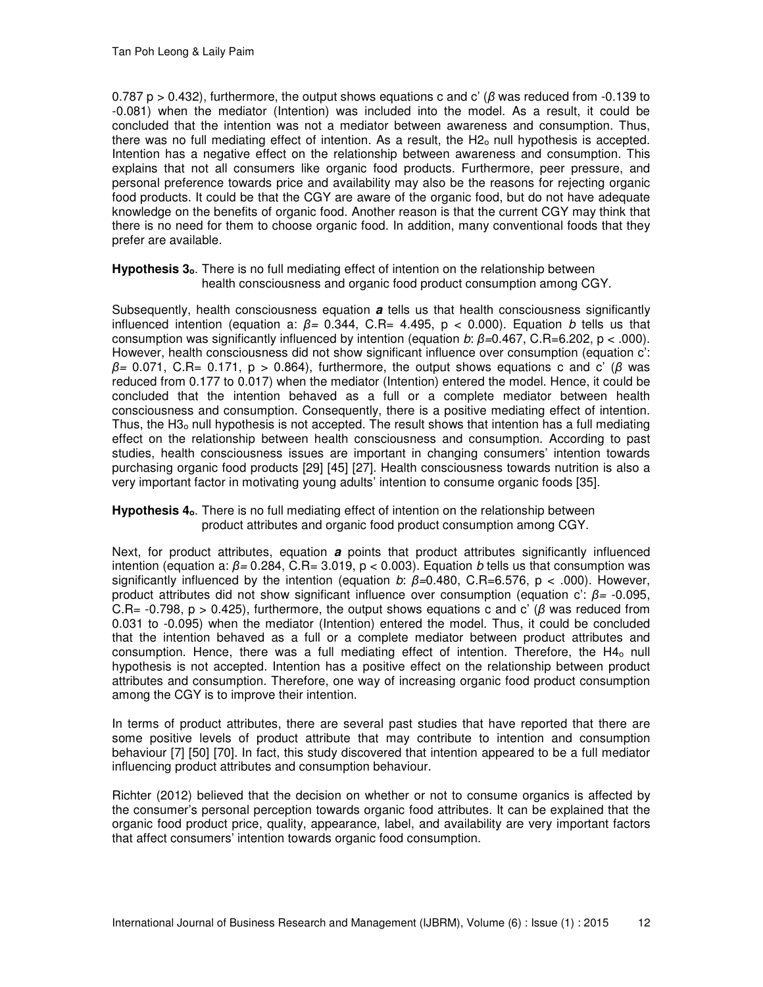0.787 p > 0.432), furthermore, the output shows equations c and c' (*β* was reduced from -0.139 to -0.081) when the mediator (Intention) was included into the model. As a result, it could be concluded that the intention was not a mediator between awareness and consumption. Thus, there was no full mediating effect of intention. As a result, the H2<sub>0</sub> null hypothesis is accepted. Intention has a negative effect on the relationship between awareness and consumption. This explains that not all consumers like organic food products. Furthermore, peer pressure, and personal preference towards price and availability may also be the reasons for rejecting organic food products. It could be that the CGY are aware of the organic food, but do not have adequate knowledge on the benefits of organic food. Another reason is that the current CGY may think that there is no need for them to choose organic food. In addition, many conventional foods that they prefer are available.

Hypothesis 3<sub>0</sub>. There is no full mediating effect of intention on the relationship between health consciousness and organic food product consumption among CGY.

Subsequently, health consciousness equation **a** tells us that health consciousness significantly influenced intention (equation a: *β=* 0.344, C.R= 4.495, p < 0.000). Equation *b* tells us that consumption was significantly influenced by intention (equation *b*: *β=*0.467, C.R=6.202, p < .000). However, health consciousness did not show significant influence over consumption (equation c': *β=* 0.071, C.R= 0.171, p > 0.864), furthermore, the output shows equations c and c' (*β* was reduced from 0.177 to 0.017) when the mediator (Intention) entered the model. Hence, it could be concluded that the intention behaved as a full or a complete mediator between health consciousness and consumption. Consequently, there is a positive mediating effect of intention. Thus, the H3<sub>o</sub> null hypothesis is not accepted. The result shows that intention has a full mediating effect on the relationship between health consciousness and consumption. According to past studies, health consciousness issues are important in changing consumers' intention towards purchasing organic food products [29] [45] [27]. Health consciousness towards nutrition is also a very important factor in motivating young adults' intention to consume organic foods [35].

Hypothesis 4<sub>0</sub>. There is no full mediating effect of intention on the relationship between product attributes and organic food product consumption among CGY.

Next, for product attributes, equation **a** points that product attributes significantly influenced intention (equation a: *β=* 0.284, C.R= 3.019, p < 0.003). Equation *b* tells us that consumption was significantly influenced by the intention (equation *b*: *β=*0.480, C.R=6.576, p < .000). However, product attributes did not show significant influence over consumption (equation c': *β=* -0.095, C.R= -0.798, p > 0.425), furthermore, the output shows equations c and c' (*β* was reduced from 0.031 to -0.095) when the mediator (Intention) entered the model. Thus, it could be concluded that the intention behaved as a full or a complete mediator between product attributes and consumption. Hence, there was a full mediating effect of intention. Therefore, the H4<sub>o</sub> null hypothesis is not accepted. Intention has a positive effect on the relationship between product attributes and consumption. Therefore, one way of increasing organic food product consumption among the CGY is to improve their intention.

In terms of product attributes, there are several past studies that have reported that there are some positive levels of product attribute that may contribute to intention and consumption behaviour [7] [50] [70]. In fact, this study discovered that intention appeared to be a full mediator influencing product attributes and consumption behaviour.

Richter (2012) believed that the decision on whether or not to consume organics is affected by the consumer's personal perception towards organic food attributes. It can be explained that the organic food product price, quality, appearance, label, and availability are very important factors that affect consumers' intention towards organic food consumption.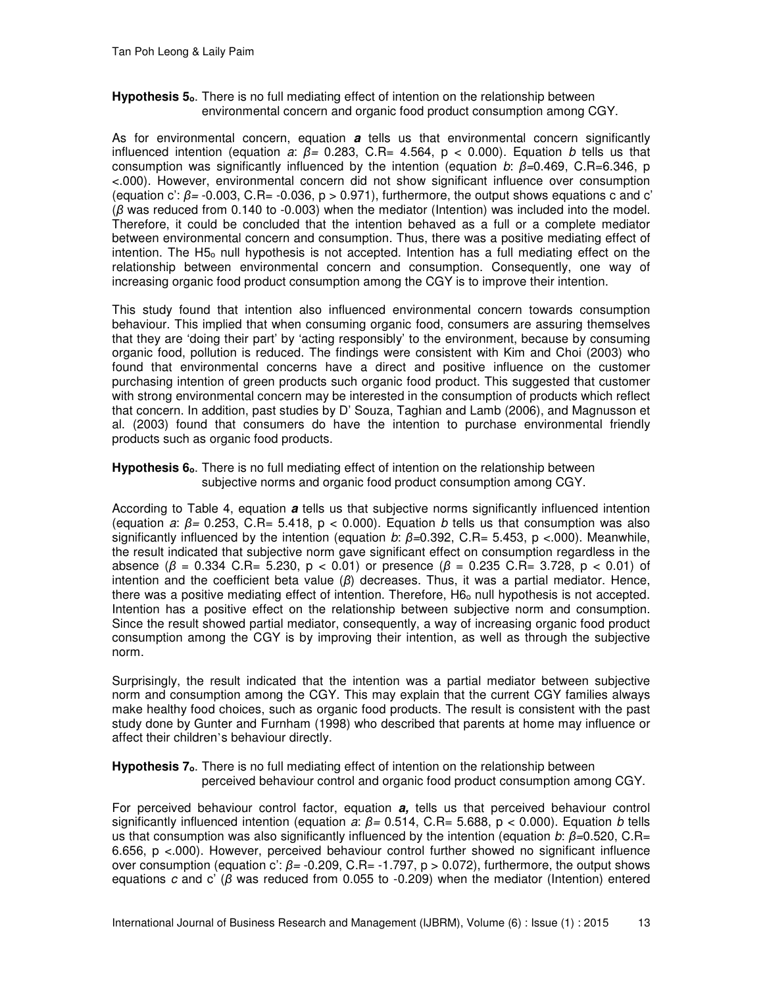### Hypothesis 5<sub>o</sub>. There is no full mediating effect of intention on the relationship between environmental concern and organic food product consumption among CGY.

As for environmental concern, equation **a** tells us that environmental concern significantly influenced intention (equation *a*: *β=* 0.283, C.R= 4.564, p < 0.000). Equation *b* tells us that consumption was significantly influenced by the intention (equation *b*: *β=*0.469, C.R=6.346, p <.000). However, environmental concern did not show significant influence over consumption (equation c':  $\beta$ = -0.003, C.R= -0.036, p > 0.971), furthermore, the output shows equations c and c' (*β* was reduced from 0.140 to -0.003) when the mediator (Intention) was included into the model. Therefore, it could be concluded that the intention behaved as a full or a complete mediator between environmental concern and consumption. Thus, there was a positive mediating effect of intention. The H5<sub>o</sub> null hypothesis is not accepted. Intention has a full mediating effect on the relationship between environmental concern and consumption. Consequently, one way of increasing organic food product consumption among the CGY is to improve their intention.

This study found that intention also influenced environmental concern towards consumption behaviour. This implied that when consuming organic food, consumers are assuring themselves that they are 'doing their part' by 'acting responsibly' to the environment, because by consuming organic food, pollution is reduced. The findings were consistent with Kim and Choi (2003) who found that environmental concerns have a direct and positive influence on the customer purchasing intention of green products such organic food product. This suggested that customer with strong environmental concern may be interested in the consumption of products which reflect that concern. In addition, past studies by D' Souza, Taghian and Lamb (2006), and Magnusson et al. (2003) found that consumers do have the intention to purchase environmental friendly products such as organic food products.

### **Hypothesis 6<sub>0</sub>**. There is no full mediating effect of intention on the relationship between subjective norms and organic food product consumption among CGY.

According to Table 4, equation **a** tells us that subjective norms significantly influenced intention (equation *a*: *β=* 0.253, C.R= 5.418, p < 0.000). Equation *b* tells us that consumption was also significantly influenced by the intention (equation *b*: *β=*0.392, C.R= 5.453, p <.000). Meanwhile, the result indicated that subjective norm gave significant effect on consumption regardless in the absence (*β* = 0.334 C.R= 5.230, p < 0.01) or presence (*β* = 0.235 C.R= 3.728, p < 0.01) of intention and the coefficient beta value (*β*) decreases. Thus, it was a partial mediator. Hence, there was a positive mediating effect of intention. Therefore, H6<sub>o</sub> null hypothesis is not accepted. Intention has a positive effect on the relationship between subjective norm and consumption. Since the result showed partial mediator, consequently, a way of increasing organic food product consumption among the CGY is by improving their intention, as well as through the subjective norm.

Surprisingly, the result indicated that the intention was a partial mediator between subjective norm and consumption among the CGY. This may explain that the current CGY families always make healthy food choices, such as organic food products. The result is consistent with the past study done by Gunter and Furnham (1998) who described that parents at home may influence or affect their children's behaviour directly.

### **Hypothesis 7<sub>0</sub>**. There is no full mediating effect of intention on the relationship between perceived behaviour control and organic food product consumption among CGY.

For perceived behaviour control factor, equation **a,** tells us that perceived behaviour control significantly influenced intention (equation *a*: *β=* 0.514, C.R= 5.688, p < 0.000). Equation *b* tells us that consumption was also significantly influenced by the intention (equation *b*: *β=*0.520, C.R= 6.656, p <.000). However, perceived behaviour control further showed no significant influence over consumption (equation c': *β=* -0.209, C.R= -1.797, p > 0.072), furthermore, the output shows equations *c* and c' (*β* was reduced from 0.055 to -0.209) when the mediator (Intention) entered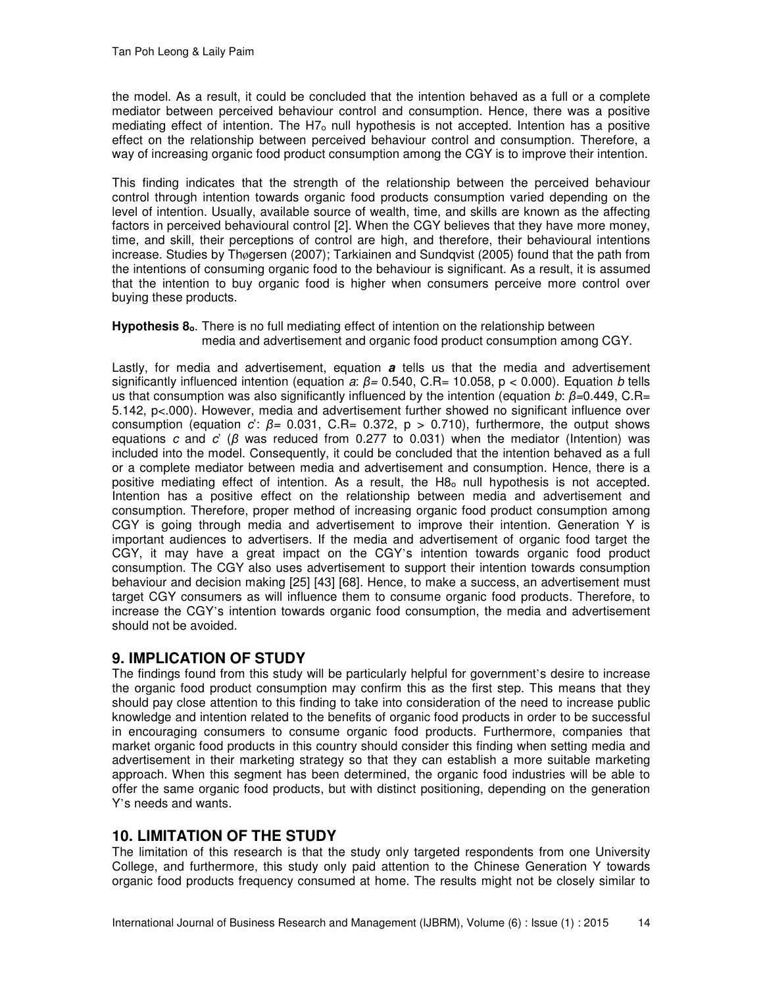the model. As a result, it could be concluded that the intention behaved as a full or a complete mediator between perceived behaviour control and consumption. Hence, there was a positive mediating effect of intention. The H7<sub>o</sub> null hypothesis is not accepted. Intention has a positive effect on the relationship between perceived behaviour control and consumption. Therefore, a way of increasing organic food product consumption among the CGY is to improve their intention.

This finding indicates that the strength of the relationship between the perceived behaviour control through intention towards organic food products consumption varied depending on the level of intention. Usually, available source of wealth, time, and skills are known as the affecting factors in perceived behavioural control [2]. When the CGY believes that they have more money, time, and skill, their perceptions of control are high, and therefore, their behavioural intentions increase. Studies by Thøgersen (2007); Tarkiainen and Sundqvist (2005) found that the path from the intentions of consuming organic food to the behaviour is significant. As a result, it is assumed that the intention to buy organic food is higher when consumers perceive more control over buying these products.

### Hypothesis 8<sub>0</sub>. There is no full mediating effect of intention on the relationship between media and advertisement and organic food product consumption among CGY.

Lastly, for media and advertisement, equation **a** tells us that the media and advertisement significantly influenced intention (equation *a*: *β=* 0.540, C.R= 10.058, p < 0.000). Equation *b* tells us that consumption was also significantly influenced by the intention (equation *b*: *β=*0.449, C.R= 5.142, p<.000). However, media and advertisement further showed no significant influence over consumption (equation *c*': *β=* 0.031, C.R= 0.372, p > 0.710), furthermore, the output shows equations *c* and *c*' (*β* was reduced from 0.277 to 0.031) when the mediator (Intention) was included into the model. Consequently, it could be concluded that the intention behaved as a full or a complete mediator between media and advertisement and consumption. Hence, there is a positive mediating effect of intention. As a result, the H8<sub>0</sub> null hypothesis is not accepted. Intention has a positive effect on the relationship between media and advertisement and consumption. Therefore, proper method of increasing organic food product consumption among CGY is going through media and advertisement to improve their intention. Generation Y is important audiences to advertisers. If the media and advertisement of organic food target the CGY, it may have a great impact on the CGY's intention towards organic food product consumption. The CGY also uses advertisement to support their intention towards consumption behaviour and decision making [25] [43] [68]. Hence, to make a success, an advertisement must target CGY consumers as will influence them to consume organic food products. Therefore, to increase the CGY's intention towards organic food consumption, the media and advertisement should not be avoided.

# **9. IMPLICATION OF STUDY**

The findings found from this study will be particularly helpful for government's desire to increase the organic food product consumption may confirm this as the first step. This means that they should pay close attention to this finding to take into consideration of the need to increase public knowledge and intention related to the benefits of organic food products in order to be successful in encouraging consumers to consume organic food products. Furthermore, companies that market organic food products in this country should consider this finding when setting media and advertisement in their marketing strategy so that they can establish a more suitable marketing approach. When this segment has been determined, the organic food industries will be able to offer the same organic food products, but with distinct positioning, depending on the generation Y's needs and wants.

# **10. LIMITATION OF THE STUDY**

The limitation of this research is that the study only targeted respondents from one University College, and furthermore, this study only paid attention to the Chinese Generation Y towards organic food products frequency consumed at home. The results might not be closely similar to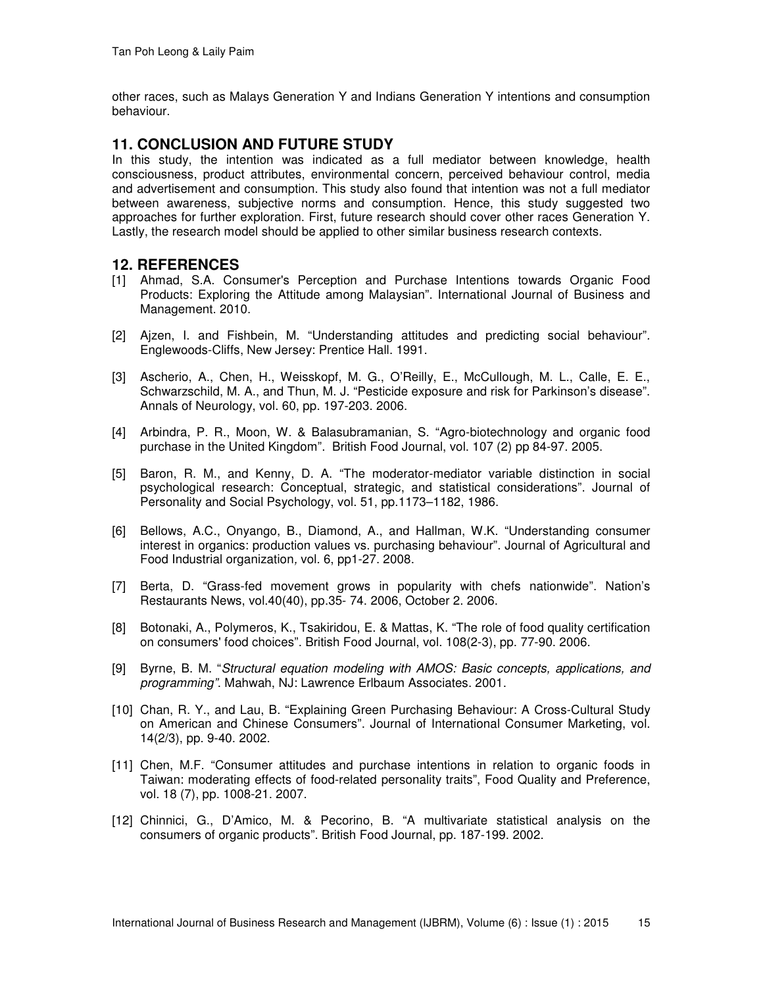other races, such as Malays Generation Y and Indians Generation Y intentions and consumption behaviour.

## **11. CONCLUSION AND FUTURE STUDY**

In this study, the intention was indicated as a full mediator between knowledge, health consciousness, product attributes, environmental concern, perceived behaviour control, media and advertisement and consumption. This study also found that intention was not a full mediator between awareness, subjective norms and consumption. Hence, this study suggested two approaches for further exploration. First, future research should cover other races Generation Y. Lastly, the research model should be applied to other similar business research contexts.

### **12. REFERENCES**

- [1] Ahmad, S.A. Consumer's Perception and Purchase Intentions towards Organic Food Products: Exploring the Attitude among Malaysian". International Journal of Business and Management. 2010.
- [2] Ajzen, I. and Fishbein, M. "Understanding attitudes and predicting social behaviour"*.*  Englewoods-Cliffs, New Jersey: Prentice Hall. 1991.
- [3] Ascherio, A., Chen, H., Weisskopf, M. G., O'Reilly, E., McCullough, M. L., Calle, E. E., Schwarzschild, M. A., and Thun, M. J. "Pesticide exposure and risk for Parkinson's disease". Annals of Neurology, vol. 60, pp. 197-203. 2006.
- [4] Arbindra, P. R., Moon, W. & Balasubramanian, S. "Agro-biotechnology and organic food purchase in the United Kingdom". British Food Journal, vol. 107 (2) pp 84-97. 2005.
- [5] Baron, R. M., and Kenny, D. A. "The moderator-mediator variable distinction in social psychological research: Conceptual, strategic, and statistical considerations". Journal of Personality and Social Psychology, vol. 51, pp.1173–1182, 1986.
- [6] Bellows, A.C., Onyango, B., Diamond, A., and Hallman, W.K. "Understanding consumer interest in organics: production values vs. purchasing behaviour". Journal of Agricultural and Food Industrial organization*,* vol*.* 6, pp1-27. 2008.
- [7] Berta, D. "Grass-fed movement grows in popularity with chefs nationwide". Nation's Restaurants News, vol.40(40), pp.35- 74. 2006, October 2. 2006.
- [8] Botonaki, A., Polymeros, K., Tsakiridou, E. & Mattas, K. "The role of food quality certification on consumers' food choices". British Food Journal, vol. 108(2-3), pp. 77-90. 2006.
- [9] Byrne, B. M. "*Structural equation modeling with AMOS: Basic concepts, applications, and programming"*. Mahwah, NJ: Lawrence Erlbaum Associates. 2001.
- [10] Chan, R. Y., and Lau, B. "Explaining Green Purchasing Behaviour: A Cross-Cultural Study on American and Chinese Consumers". Journal of International Consumer Marketing, vol. 14(2/3), pp. 9-40. 2002.
- [11] Chen, M.F. "Consumer attitudes and purchase intentions in relation to organic foods in Taiwan: moderating effects of food-related personality traits", Food Quality and Preference, vol. 18 (7), pp. 1008-21. 2007.
- [12] Chinnici, G., D'Amico, M. & Pecorino, B. "A multivariate statistical analysis on the consumers of organic products". British Food Journal, pp. 187-199. 2002.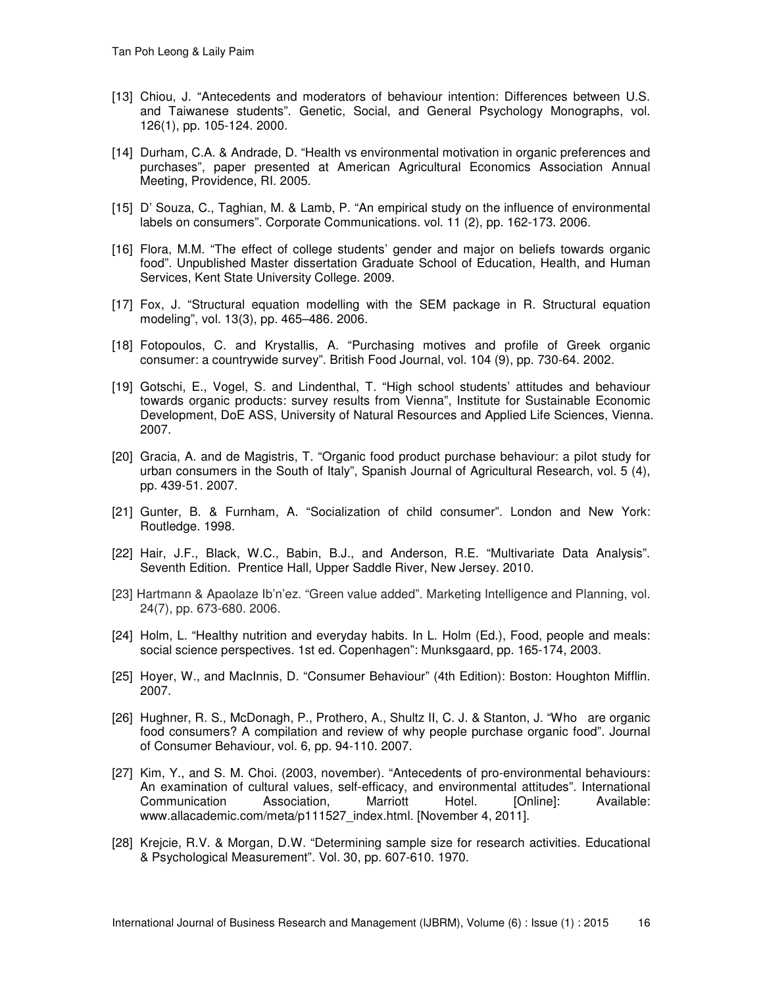- [13] Chiou, J. "Antecedents and moderators of behaviour intention: Differences between U.S. and Taiwanese students". Genetic, Social, and General Psychology Monographs, vol. 126(1), pp. 105-124. 2000.
- [14] Durham, C.A. & Andrade, D. "Health vs environmental motivation in organic preferences and purchases", paper presented at American Agricultural Economics Association Annual Meeting, Providence, RI. 2005.
- [15] D' Souza, C., Taghian, M. & Lamb, P. "An empirical study on the influence of environmental labels on consumers". Corporate Communications. vol. 11 (2), pp. 162-173. 2006.
- [16] Flora, M.M. "The effect of college students' gender and major on beliefs towards organic food". Unpublished Master dissertation Graduate School of Education, Health, and Human Services, Kent State University College. 2009.
- [17] Fox, J. "Structural equation modelling with the SEM package in R. Structural equation modeling", vol. 13(3), pp. 465–486. 2006.
- [18] Fotopoulos, C. and Krystallis, A. "Purchasing motives and profile of Greek organic consumer: a countrywide survey". British Food Journal, vol. 104 (9), pp. 730-64. 2002.
- [19] Gotschi, E., Vogel, S. and Lindenthal, T. "High school students' attitudes and behaviour towards organic products: survey results from Vienna", Institute for Sustainable Economic Development, DoE ASS, University of Natural Resources and Applied Life Sciences, Vienna. 2007.
- [20] Gracia, A. and de Magistris, T. "Organic food product purchase behaviour: a pilot study for urban consumers in the South of Italy", Spanish Journal of Agricultural Research, vol. 5 (4), pp. 439-51. 2007.
- [21] Gunter, B. & Furnham, A. "Socialization of child consumer". London and New York: Routledge. 1998.
- [22] Hair, J.F., Black, W.C., Babin, B.J., and Anderson, R.E. "Multivariate Data Analysis". Seventh Edition. Prentice Hall, Upper Saddle River, New Jersey. 2010.
- [23] Hartmann & Apaolaze Ib'n'ez. "Green value added". Marketing Intelligence and Planning, vol. 24(7), pp. 673-680. 2006.
- [24] Holm, L. "Healthy nutrition and everyday habits. In L. Holm (Ed.), Food, people and meals: social science perspectives. 1st ed. Copenhagen": Munksgaard, pp. 165-174, 2003.
- [25] Hoyer, W., and MacInnis, D. "Consumer Behaviour" (4th Edition): Boston: Houghton Mifflin. 2007.
- [26] Hughner, R. S., McDonagh, P., Prothero, A., Shultz II, C. J. & Stanton, J. "Who are organic food consumers? A compilation and review of why people purchase organic food". Journal of Consumer Behaviour, vol. 6, pp. 94-110. 2007.
- [27] Kim, Y., and S. M. Choi. (2003, november). "Antecedents of pro-environmental behaviours: An examination of cultural values, self-efficacy, and environmental attitudes". International Communication Association, Marriott Hotel. [Online]: Available: www.allacademic.com/meta/p111527\_index.html. [November 4, 2011].
- [28] Krejcie, R.V. & Morgan, D.W. "Determining sample size for research activities. Educational & Psychological Measurement". Vol. 30, pp. 607-610. 1970.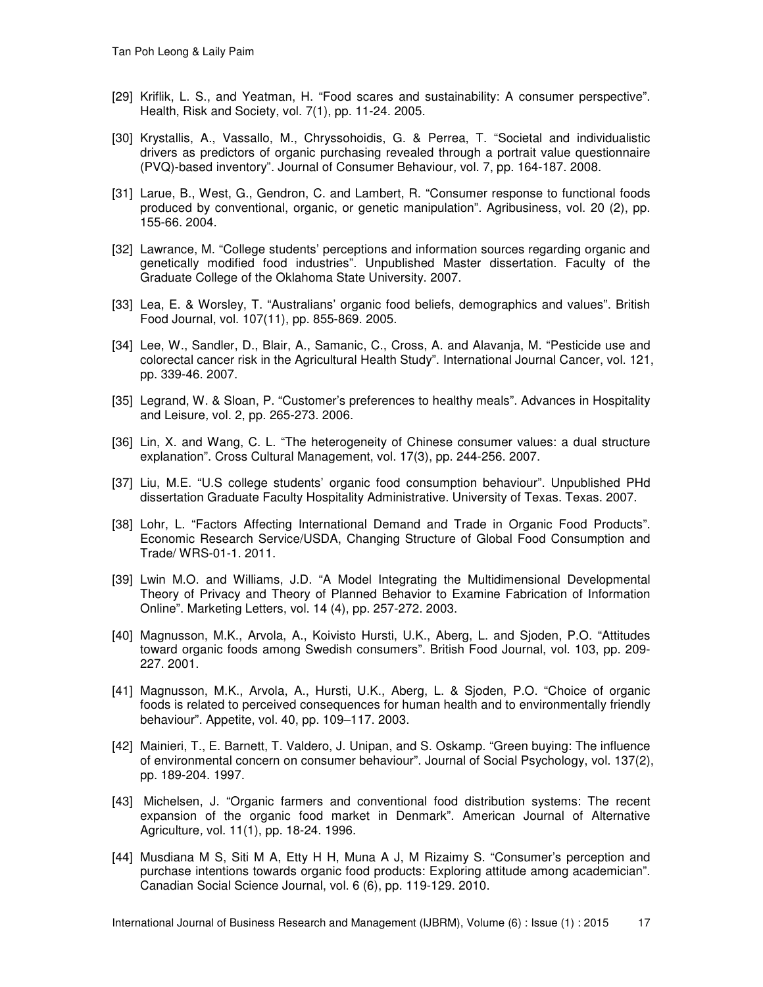- [29] Kriflik, L. S., and Yeatman, H. "Food scares and sustainability: A consumer perspective". Health, Risk and Society, vol. 7(1), pp. 11-24. 2005.
- [30] Krystallis, A., Vassallo, M., Chryssohoidis, G. & Perrea, T. "Societal and individualistic drivers as predictors of organic purchasing revealed through a portrait value questionnaire (PVQ)-based inventory". Journal of Consumer Behaviour*,* vol. 7, pp. 164-187. 2008.
- [31] Larue, B., West, G., Gendron, C. and Lambert, R. "Consumer response to functional foods produced by conventional, organic, or genetic manipulation". Agribusiness, vol. 20 (2), pp. 155-66. 2004.
- [32] Lawrance, M. "College students' perceptions and information sources regarding organic and genetically modified food industries". Unpublished Master dissertation. Faculty of the Graduate College of the Oklahoma State University. 2007.
- [33] Lea, E. & Worsley, T. "Australians' organic food beliefs, demographics and values". British Food Journal, vol. 107(11), pp. 855-869. 2005.
- [34] Lee, W., Sandler, D., Blair, A., Samanic, C., Cross, A. and Alavanja, M. "Pesticide use and colorectal cancer risk in the Agricultural Health Study". International Journal Cancer, vol. 121, pp. 339-46. 2007.
- [35] Legrand, W. & Sloan, P. "Customer's preferences to healthy meals". Advances in Hospitality and Leisure*,* vol. 2, pp. 265-273. 2006.
- [36] Lin, X. and Wang, C. L. "The heterogeneity of Chinese consumer values: a dual structure explanation". Cross Cultural Management, vol. 17(3), pp. 244-256. 2007.
- [37] Liu, M.E. "U.S college students' organic food consumption behaviour". Unpublished PHd dissertation Graduate Faculty Hospitality Administrative. University of Texas. Texas. 2007.
- [38] Lohr, L. "Factors Affecting International Demand and Trade in Organic Food Products". Economic Research Service/USDA, Changing Structure of Global Food Consumption and Trade/ WRS-01-1. 2011.
- [39] Lwin M.O. and Williams, J.D. "A Model Integrating the Multidimensional Developmental Theory of Privacy and Theory of Planned Behavior to Examine Fabrication of Information Online". Marketing Letters, vol. 14 (4), pp. 257-272. 2003.
- [40] Magnusson, M.K., Arvola, A., Koivisto Hursti, U.K., Aberg, L. and Sjoden, P.O. "Attitudes toward organic foods among Swedish consumers". British Food Journal, vol. 103, pp. 209- 227. 2001.
- [41] Magnusson, M.K., Arvola, A., Hursti, U.K., Aberg, L. & Sjoden, P.O. "Choice of organic foods is related to perceived consequences for human health and to environmentally friendly behaviour". Appetite, vol. 40, pp. 109–117. 2003.
- [42] Mainieri, T., E. Barnett, T. Valdero, J. Unipan, and S. Oskamp. "Green buying: The influence of environmental concern on consumer behaviour". Journal of Social Psychology, vol. 137(2), pp. 189-204. 1997.
- [43] Michelsen, J. "Organic farmers and conventional food distribution systems: The recent expansion of the organic food market in Denmark". American Journal of Alternative Agriculture*,* vol. 11(1), pp. 18-24. 1996.
- [44] Musdiana M S, Siti M A, Etty H H, Muna A J, M Rizaimy S. "Consumer's perception and purchase intentions towards organic food products: Exploring attitude among academician". Canadian Social Science Journal, vol. 6 (6), pp. 119-129. 2010.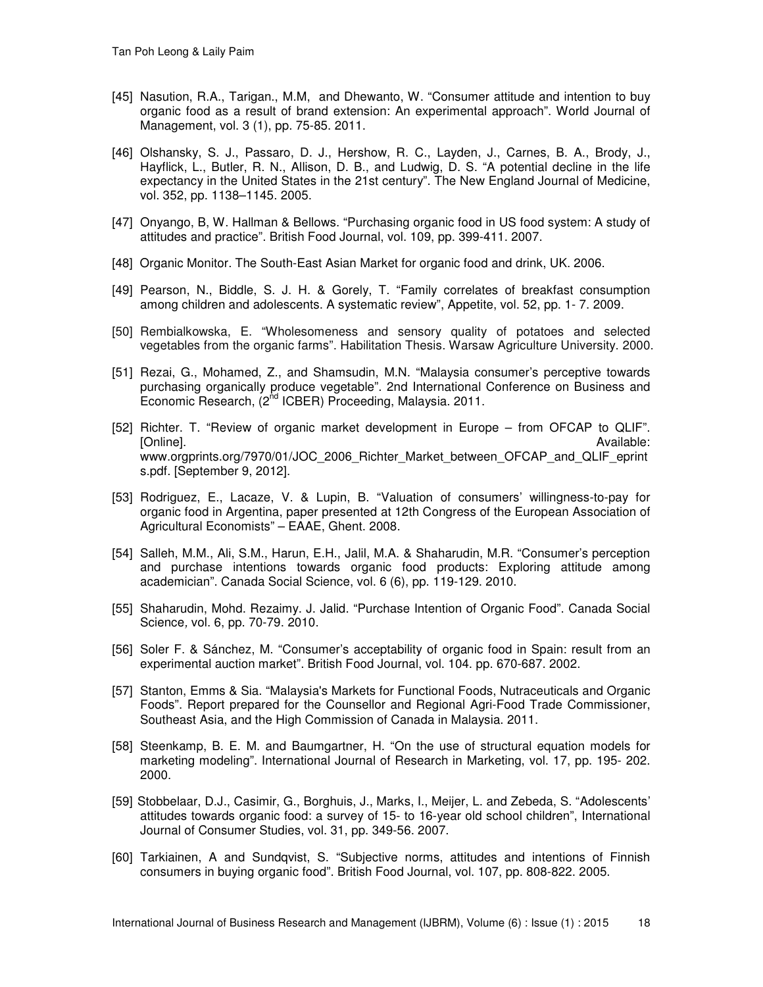- [45] Nasution, R.A., Tarigan., M.M, and Dhewanto, W. "Consumer attitude and intention to buy organic food as a result of brand extension: An experimental approach". World Journal of Management, vol. 3 (1), pp. 75-85. 2011.
- [46] Olshansky, S. J., Passaro, D. J., Hershow, R. C., Layden, J., Carnes, B. A., Brody, J., Hayflick, L., Butler, R. N., Allison, D. B., and Ludwig, D. S. "A potential decline in the life expectancy in the United States in the 21st century". The New England Journal of Medicine, vol. 352, pp. 1138–1145. 2005.
- [47] Onyango, B, W. Hallman & Bellows. "Purchasing organic food in US food system: A study of attitudes and practice". British Food Journal, vol. 109, pp. 399-411. 2007.
- [48] Organic Monitor. The South-East Asian Market for organic food and drink, UK. 2006.
- [49] Pearson, N., Biddle, S. J. H. & Gorely, T. "Family correlates of breakfast consumption among children and adolescents. A systematic review", Appetite, vol. 52, pp. 1- 7. 2009.
- [50] Rembialkowska, E. "Wholesomeness and sensory quality of potatoes and selected vegetables from the organic farms". Habilitation Thesis. Warsaw Agriculture University. 2000.
- [51] Rezai, G., Mohamed, Z., and Shamsudin, M.N. "Malaysia consumer's perceptive towards purchasing organically produce vegetable". 2nd International Conference on Business and Economic Research, (2<sup>nd</sup> ICBER) Proceeding, Malaysia. 2011.
- [52] Richter. T. "Review of organic market development in Europe from OFCAP to QLIF". [Online]. Available: www.orgprints.org/7970/01/JOC\_2006\_Richter\_Market\_between\_OFCAP\_and\_QLIF\_eprint s.pdf. [September 9, 2012].
- [53] Rodriguez, E., Lacaze, V. & Lupin, B. "Valuation of consumers' willingness-to-pay for organic food in Argentina, paper presented at 12th Congress of the European Association of Agricultural Economists" – EAAE, Ghent. 2008.
- [54] Salleh, M.M., Ali, S.M., Harun, E.H., Jalil, M.A. & Shaharudin, M.R. "Consumer's perception and purchase intentions towards organic food products: Exploring attitude among academician". Canada Social Science, vol. 6 (6), pp. 119-129. 2010.
- [55] Shaharudin, Mohd. Rezaimy. J. Jalid. "Purchase Intention of Organic Food". Canada Social Science*,* vol. 6, pp. 70-79. 2010.
- [56] Soler F. & Sánchez, M. "Consumer's acceptability of organic food in Spain: result from an experimental auction market". British Food Journal, vol. 104. pp. 670-687. 2002.
- [57] Stanton, Emms & Sia. "Malaysia's Markets for Functional Foods, Nutraceuticals and Organic Foods". Report prepared for the Counsellor and Regional Agri-Food Trade Commissioner, Southeast Asia, and the High Commission of Canada in Malaysia. 2011.
- [58] Steenkamp, B. E. M. and Baumgartner, H. "On the use of structural equation models for marketing modeling". International Journal of Research in Marketing, vol. 17, pp. 195- 202. 2000.
- [59] Stobbelaar, D.J., Casimir, G., Borghuis, J., Marks, I., Meijer, L. and Zebeda, S. "Adolescents' attitudes towards organic food: a survey of 15- to 16-year old school children", International Journal of Consumer Studies, vol. 31, pp. 349-56. 2007.
- [60] Tarkiainen, A and Sundqvist, S. "Subjective norms, attitudes and intentions of Finnish consumers in buying organic food". British Food Journal, vol. 107, pp. 808-822. 2005.